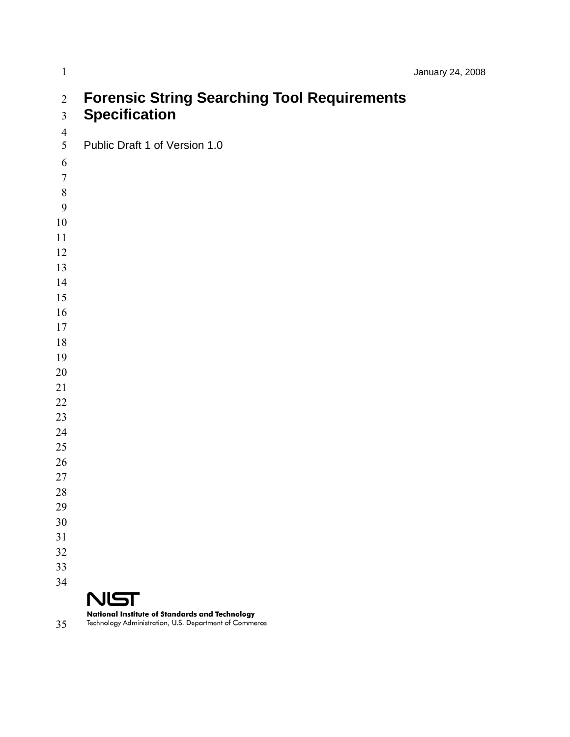| $\mathbf{1}$                     |                                                                            | January 24, 2008 |
|----------------------------------|----------------------------------------------------------------------------|------------------|
| $\overline{2}$<br>$\mathfrak{Z}$ | <b>Forensic String Searching Tool Requirements</b><br><b>Specification</b> |                  |
| $\overline{4}$                   |                                                                            |                  |
| 5                                | Public Draft 1 of Version 1.0                                              |                  |
| 6                                |                                                                            |                  |
| $\boldsymbol{7}$                 |                                                                            |                  |
| $\,8\,$                          |                                                                            |                  |
| 9                                |                                                                            |                  |
| 10                               |                                                                            |                  |
| 11                               |                                                                            |                  |
| 12                               |                                                                            |                  |
| 13                               |                                                                            |                  |
| 14                               |                                                                            |                  |
| 15                               |                                                                            |                  |
| 16                               |                                                                            |                  |
| 17                               |                                                                            |                  |
| 18                               |                                                                            |                  |
| 19                               |                                                                            |                  |
| $20\,$                           |                                                                            |                  |
| 21                               |                                                                            |                  |
| $22\,$                           |                                                                            |                  |
| 23                               |                                                                            |                  |
| 24                               |                                                                            |                  |
| 25<br>$26\,$                     |                                                                            |                  |
| 27                               |                                                                            |                  |
| 28                               |                                                                            |                  |
| 29                               |                                                                            |                  |
| 30                               |                                                                            |                  |
| 31                               |                                                                            |                  |
| 32                               |                                                                            |                  |
| 33                               |                                                                            |                  |
| 34                               |                                                                            |                  |
|                                  | NIST<br>National Instituto of Standards and Tochnology                     |                  |

**National Institute of Standards and Technology**<br>Technology Administration, U.S. Department of Commerce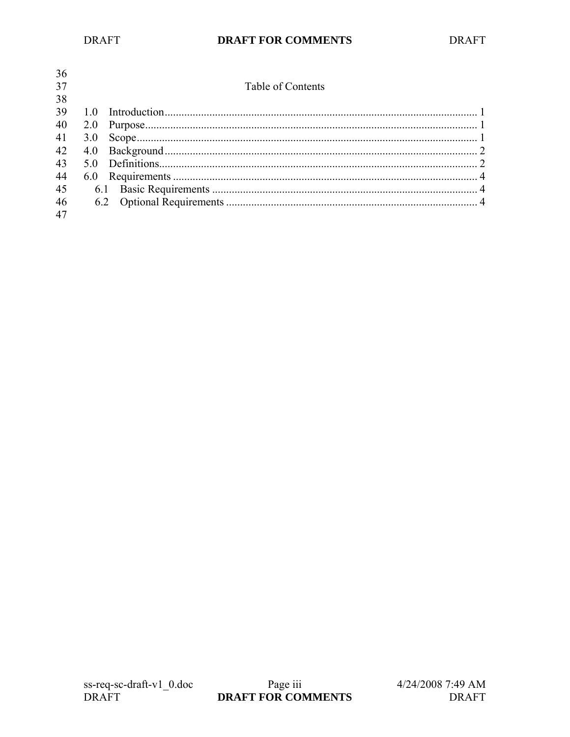#### DRAFT FOR COMMENTS

| 36 |     |                   |  |
|----|-----|-------------------|--|
| 37 |     | Table of Contents |  |
| 38 |     |                   |  |
| 39 |     |                   |  |
| 40 | 2.0 |                   |  |
| 41 | 3 O |                   |  |
| 42 | 4.0 |                   |  |
| 43 |     |                   |  |
| 44 | 6.0 |                   |  |
| 45 |     |                   |  |
| 46 |     |                   |  |
| 47 |     |                   |  |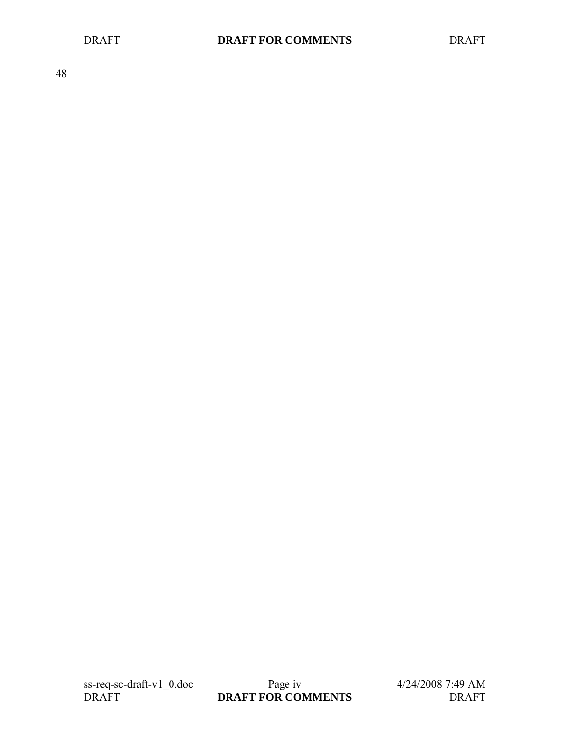48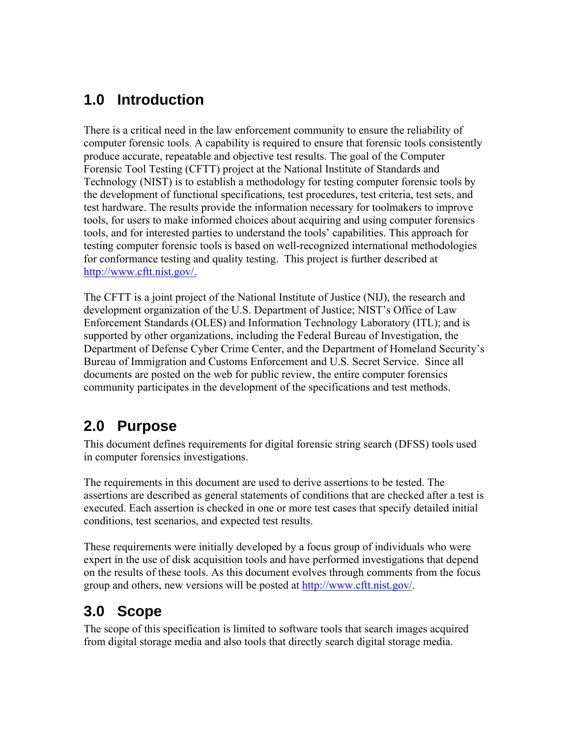# <span id="page-4-0"></span>**1.0 Introduction**

There is a critical need in the law enforcement community to ensure the reliability of computer forensic tools. A capability is required to ensure that forensic tools consistently produce accurate, repeatable and objective test results. The goal of the Computer Forensic Tool Testing (CFTT) project at the National Institute of Standards and Technology (NIST) is to establish a methodology for testing computer forensic tools by the development of functional specifications, test procedures, test criteria, test sets, and test hardware. The results provide the information necessary for toolmakers to improve tools, for users to make informed choices about acquiring and using computer forensics tools, and for interested parties to understand the tools' capabilities. This approach for testing computer forensic tools is based on well-recognized international methodologies for conformance testing and quality testing. This project is further described at <http://www.cftt.nist.gov/>.

The CFTT is a joint project of the National Institute of Justice (NIJ), the research and development organization of the U.S. Department of Justice; NIST's Office of Law Enforcement Standards (OLES) and Information Technology Laboratory (ITL); and is supported by other organizations, including the Federal Bureau of Investigation, the Department of Defense Cyber Crime Center, and the Department of Homeland Security's Bureau of Immigration and Customs Enforcement and U.S. Secret Service. Since all documents are posted on the web for public review, the entire computer forensics community participates in the development of the specifications and test methods.

# <span id="page-4-1"></span>**2.0 Purpose**

This document defines requirements for digital forensic string search (DFSS) tools used in computer forensics investigations.

The requirements in this document are used to derive assertions to be tested. The assertions are described as general statements of conditions that are checked after a test is executed. Each assertion is checked in one or more test cases that specify detailed initial conditions, test scenarios, and expected test results.

These requirements were initially developed by a focus group of individuals who were expert in the use of disk acquisition tools and have performed investigations that depend on the results of these tools. As this document evolves through comments from the focus group and others, new versions will be posted at [http://www.cftt.nist.gov/.](http://www.cftt.nist.gov/)

# <span id="page-4-2"></span>**3.0 Scope**

The scope of this specification is limited to software tools that search images acquired from digital storage media and also tools that directly search digital storage media.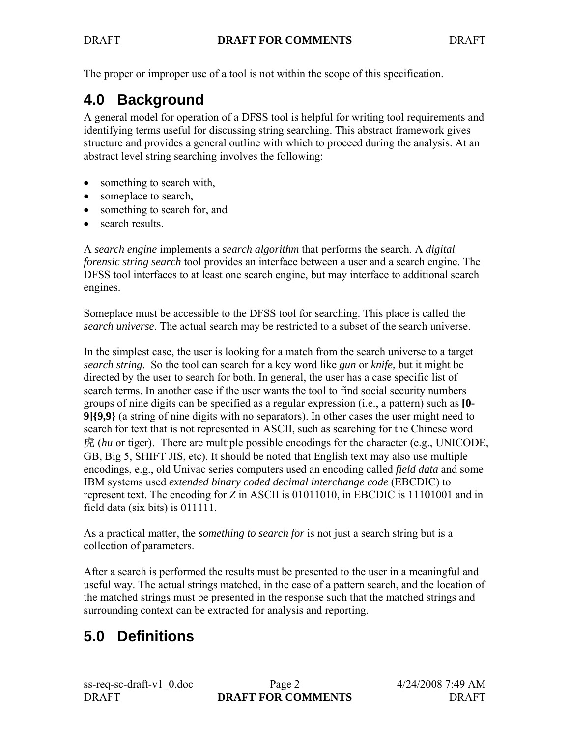The proper or improper use of a tool is not within the scope of this specification.

# <span id="page-5-0"></span>**4.0 Background**

A general model for operation of a DFSS tool is helpful for writing tool requirements and identifying terms useful for discussing string searching. This abstract framework gives structure and provides a general outline with which to proceed during the analysis. At an abstract level string searching involves the following:

- something to search with,
- someplace to search,
- something to search for, and
- search results.

A *search engine* implements a *search algorithm* that performs the search. A *digital forensic string search* tool provides an interface between a user and a search engine. The DFSS tool interfaces to at least one search engine, but may interface to additional search engines.

Someplace must be accessible to the DFSS tool for searching. This place is called the *search universe*. The actual search may be restricted to a subset of the search universe.

In the simplest case, the user is looking for a match from the search universe to a target *search string*. So the tool can search for a key word like *gun* or *knife*, but it might be directed by the user to search for both. In general, the user has a case specific list of search terms. In another case if the user wants the tool to find social security numbers groups of nine digits can be specified as a regular expression (i.e., a pattern) such as **[0- 9]{9,9}** (a string of nine digits with no separators). In other cases the user might need to search for text that is not represented in ASCII, such as searching for the Chinese word 虎 (*hu* or tiger). There are multiple possible encodings for the character (e.g., UNICODE, GB, Big 5, SHIFT JIS, etc). It should be noted that English text may also use multiple encodings, e.g., old Univac series computers used an encoding called *field data* and some IBM systems used *extended binary coded decimal interchange code* (EBCDIC) to represent text. The encoding for *Z* in ASCII is 01011010, in EBCDIC is 11101001 and in field data (six bits) is 011111.

As a practical matter, the *something to search for* is not just a search string but is a collection of parameters.

After a search is performed the results must be presented to the user in a meaningful and useful way. The actual strings matched, in the case of a pattern search, and the location of the matched strings must be presented in the response such that the matched strings and surrounding context can be extracted for analysis and reporting.

# <span id="page-5-1"></span>**5.0 Definitions**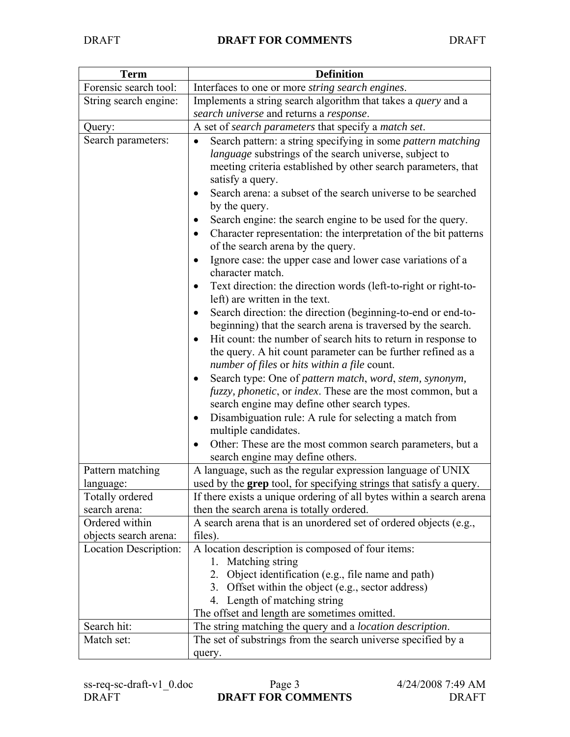| <b>Term</b>           | <b>Definition</b>                                                                                                                                                                                                                                                                                                                                                                                                                                                                                                                                                                                                                                                                 |
|-----------------------|-----------------------------------------------------------------------------------------------------------------------------------------------------------------------------------------------------------------------------------------------------------------------------------------------------------------------------------------------------------------------------------------------------------------------------------------------------------------------------------------------------------------------------------------------------------------------------------------------------------------------------------------------------------------------------------|
| Forensic search tool: | Interfaces to one or more string search engines.                                                                                                                                                                                                                                                                                                                                                                                                                                                                                                                                                                                                                                  |
| String search engine: | Implements a string search algorithm that takes a query and a                                                                                                                                                                                                                                                                                                                                                                                                                                                                                                                                                                                                                     |
|                       | search universe and returns a response.                                                                                                                                                                                                                                                                                                                                                                                                                                                                                                                                                                                                                                           |
| Query:                | A set of search parameters that specify a match set.                                                                                                                                                                                                                                                                                                                                                                                                                                                                                                                                                                                                                              |
| Search parameters:    | Search pattern: a string specifying in some <i>pattern matching</i><br>language substrings of the search universe, subject to<br>meeting criteria established by other search parameters, that<br>satisfy a query.<br>Search arena: a subset of the search universe to be searched<br>by the query.<br>Search engine: the search engine to be used for the query.<br>Character representation: the interpretation of the bit patterns<br>of the search arena by the query.<br>Ignore case: the upper case and lower case variations of a<br>character match.<br>Text direction: the direction words (left-to-right or right-to-<br>$\bullet$<br>left) are written in the text.    |
|                       | Search direction: the direction (beginning-to-end or end-to-<br>beginning) that the search arena is traversed by the search.<br>Hit count: the number of search hits to return in response to<br>the query. A hit count parameter can be further refined as a<br>number of files or hits within a file count.<br>Search type: One of pattern match, word, stem, synonym,<br><i>fuzzy, phonetic, or index.</i> These are the most common, but a<br>search engine may define other search types.<br>Disambiguation rule: A rule for selecting a match from<br>multiple candidates.<br>Other: These are the most common search parameters, but a<br>search engine may define others. |
| Pattern matching      | A language, such as the regular expression language of UNIX                                                                                                                                                                                                                                                                                                                                                                                                                                                                                                                                                                                                                       |
| language:             | used by the grep tool, for specifying strings that satisfy a query.                                                                                                                                                                                                                                                                                                                                                                                                                                                                                                                                                                                                               |
| Totally ordered       | If there exists a unique ordering of all bytes within a search arena                                                                                                                                                                                                                                                                                                                                                                                                                                                                                                                                                                                                              |
| search arena:         | then the search arena is totally ordered.                                                                                                                                                                                                                                                                                                                                                                                                                                                                                                                                                                                                                                         |
| Ordered within        | A search arena that is an unordered set of ordered objects (e.g.,                                                                                                                                                                                                                                                                                                                                                                                                                                                                                                                                                                                                                 |
| objects search arena: | files).                                                                                                                                                                                                                                                                                                                                                                                                                                                                                                                                                                                                                                                                           |
| Location Description: | A location description is composed of four items:                                                                                                                                                                                                                                                                                                                                                                                                                                                                                                                                                                                                                                 |
|                       | 1. Matching string<br>Object identification (e.g., file name and path)<br>2.<br>3. Offset within the object (e.g., sector address)<br>4. Length of matching string<br>The offset and length are sometimes omitted.                                                                                                                                                                                                                                                                                                                                                                                                                                                                |
| Search hit:           | The string matching the query and a <i>location description</i> .                                                                                                                                                                                                                                                                                                                                                                                                                                                                                                                                                                                                                 |
| Match set:            | The set of substrings from the search universe specified by a<br>query.                                                                                                                                                                                                                                                                                                                                                                                                                                                                                                                                                                                                           |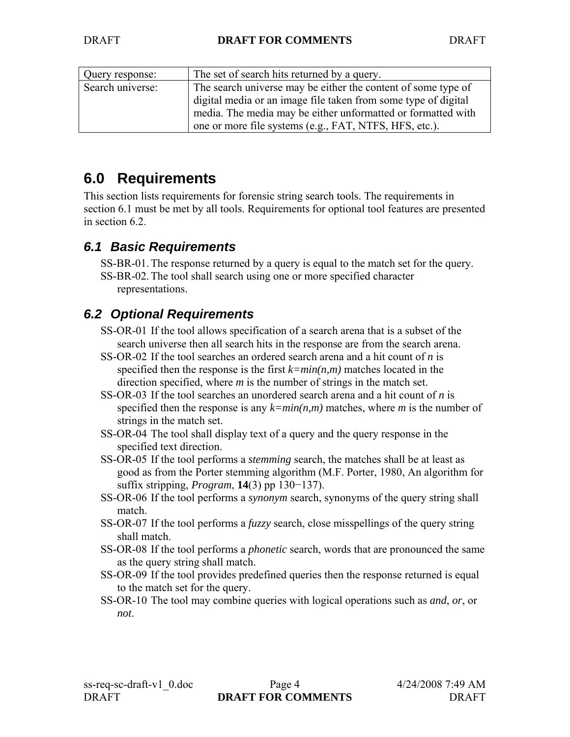| Query response:  | The set of search hits returned by a query.                    |
|------------------|----------------------------------------------------------------|
| Search universe: | The search universe may be either the content of some type of  |
|                  | digital media or an image file taken from some type of digital |
|                  | media. The media may be either unformatted or formatted with   |
|                  | one or more file systems (e.g., FAT, NTFS, HFS, etc.).         |

### <span id="page-7-0"></span>**6.0 Requirements**

This section lists requirements for forensic string search tools. The requirements in section [6.1](#page-7-1) must be met by all tools. Requirements for optional tool features are presented in section [6.2](#page-7-2).

### <span id="page-7-1"></span>*6.1 Basic Requirements*

SS-BR-01.The response returned by a query is equal to the match set for the query. SS-BR-02.The tool shall search using one or more specified character

representations.

### <span id="page-7-2"></span>*6.2 Optional Requirements*

- SS-OR-01 If the tool allows specification of a search arena that is a subset of the search universe then all search hits in the response are from the search arena.
- SS-OR-02 If the tool searches an ordered search arena and a hit count of *n* is specified then the response is the first  $k=min(n,m)$  matches located in the direction specified, where *m* is the number of strings in the match set.
- SS-OR-03 If the tool searches an unordered search arena and a hit count of *n* is specified then the response is any *k=min(n,m)* matches, where *m* is the number of strings in the match set.
- SS-OR-04 The tool shall display text of a query and the query response in the specified text direction.
- SS-OR-05 If the tool performs a *stemming* search, the matches shall be at least as good as from the Porter stemming algorithm (M.F. Porter, 1980, An algorithm for suffix stripping, *Program*, **14**(3) pp 130−137).
- SS-OR-06 If the tool performs a *synonym* search, synonyms of the query string shall match.
- SS-OR-07 If the tool performs a *fuzzy* search, close misspellings of the query string shall match.
- SS-OR-08 If the tool performs a *phonetic* search, words that are pronounced the same as the query string shall match.
- SS-OR-09 If the tool provides predefined queries then the response returned is equal to the match set for the query.
- SS-OR-10 The tool may combine queries with logical operations such as *and*, *or*, or *not*.